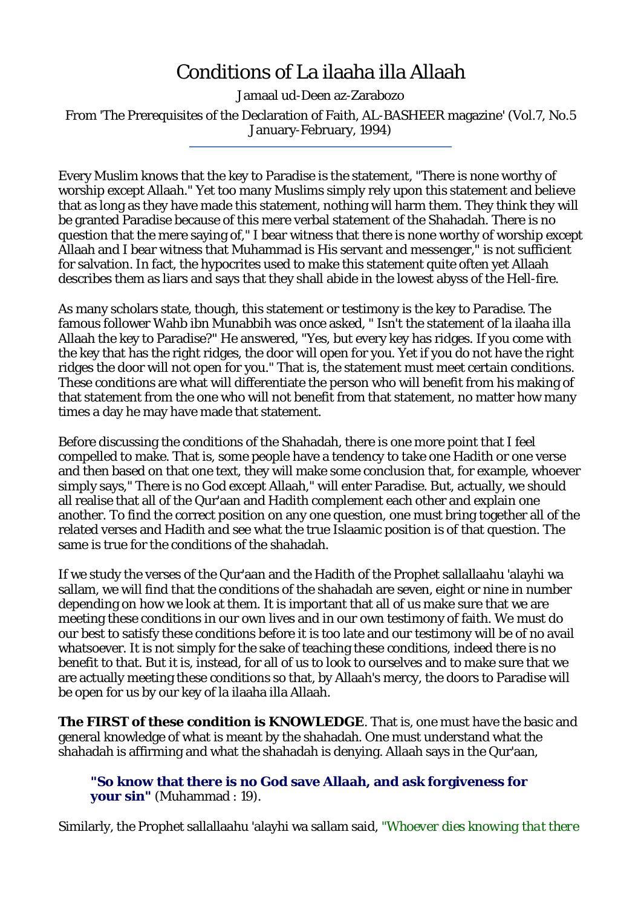## Conditions of La ilaaha illa Allaah

Jamaal ud-Deen az-Zarabozo

From 'The Prerequisites of the Declaration of Faith, AL-BASHEER magazine' (Vol.7, No.5 January-February, 1994)

Every Muslim knows that the key to Paradise is the statement, "There is none worthy of worship except Allaah." Yet too many Muslims simply rely upon this statement and believe that as long as they have made this statement, nothing will harm them. They think they will be granted Paradise because of this mere verbal statement of the Shahadah. There is no question that the mere saying of," I bear witness that there is none worthy of worship except Allaah and I bear witness that Muhammad is His servant and messenger," is not sufficient for salvation. In fact, the hypocrites used to make this statement quite often yet Allaah describes them as liars and says that they shall abide in the lowest abyss of the Hell-fire.

As many scholars state, though, this statement or testimony is the key to Paradise. The famous follower Wahb ibn Munabbih was once asked, " Isn't the statement of la ilaaha illa Allaah the key to Paradise?" He answered, "Yes, but every key has ridges. If you come with the key that has the right ridges, the door will open for you. Yet if you do not have the right ridges the door will not open for you." That is, the statement must meet certain conditions. These conditions are what will differentiate the person who will benefit from his making of that statement from the one who will not benefit from that statement, no matter how many times a day he may have made that statement.

Before discussing the conditions of the Shahadah, there is one more point that I feel compelled to make. That is, some people have a tendency to take one Hadith or one verse and then based on that one text, they will make some conclusion that, for example, whoever simply says," There is no God except Allaah," will enter Paradise. But, actually, we should all realise that all of the Qur'aan and Hadith complement each other and explain one another. To find the correct position on any one question, one must bring together all of the related verses and Hadith and see what the true Islaamic position is of that question. The same is true for the conditions of the shahadah.

If we study the verses of the Qur'aan and the Hadith of the Prophet sallallaahu 'alayhi wa sallam, we will find that the conditions of the shahadah are seven, eight or nine in number depending on how we look at them. It is important that all of us make sure that we are meeting these conditions in our own lives and in our own testimony of faith. We must do our best to satisfy these conditions before it is too late and our testimony will be of no avail whatsoever. It is not simply for the sake of teaching these conditions, indeed there is no benefit to that. But it is, instead, for all of us to look to ourselves and to make sure that we are actually meeting these conditions so that, by Allaah's mercy, the doors to Paradise will be open for us by our key of la ilaaha illa Allaah.

**The FIRST of these condition is KNOWLEDGE**. That is, one must have the basic and general knowledge of what is meant by the shahadah. One must understand what the shahadah is affirming and what the shahadah is denying. Allaah says in the Qur'aan,

**"So know that there is no God save Allaah, and ask forgiveness for your sin"** (Muhammad : 19).

Similarly, the Prophet sallallaahu 'alayhi wa sallam said, *"Whoever dies knowing that there*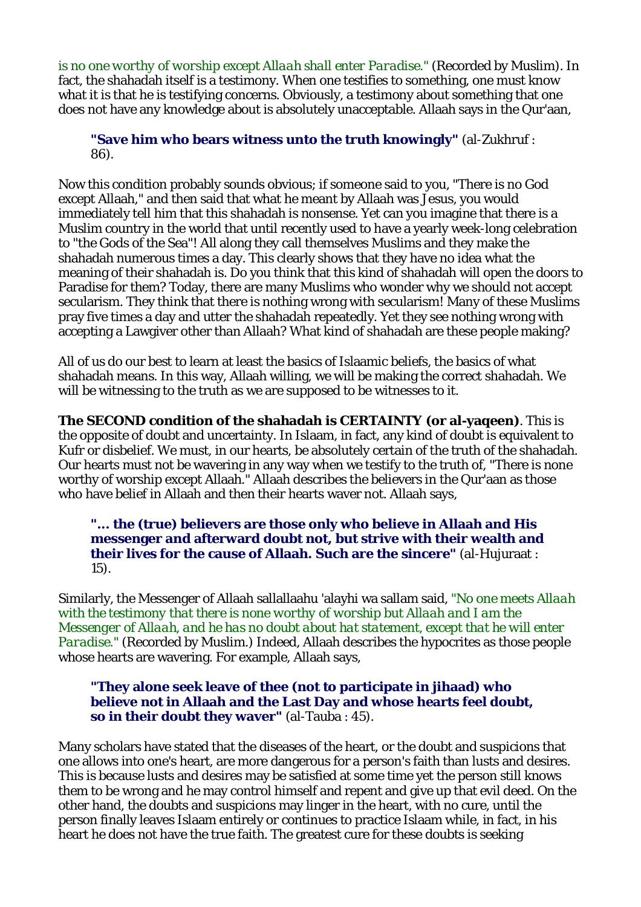*is no one worthy of worship except Allaah shall enter Paradise."* (Recorded by Muslim). In fact, the shahadah itself is a testimony. When one testifies to something, one must know what it is that he is testifying concerns. Obviously, a testimony about something that one does not have any knowledge about is absolutely unacceptable. Allaah says in the Qur'aan,

**"Save him who bears witness unto the truth knowingly"** (al-Zukhruf : 86).

Now this condition probably sounds obvious; if someone said to you, "There is no God except Allaah," and then said that what he meant by Allaah was Jesus, you would immediately tell him that this shahadah is nonsense. Yet can you imagine that there is a Muslim country in the world that until recently used to have a yearly week-long celebration to "the Gods of the Sea"! All along they call themselves Muslims and they make the shahadah numerous times a day. This clearly shows that they have no idea what the meaning of their shahadah is. Do you think that this kind of shahadah will open the doors to Paradise for them? Today, there are many Muslims who wonder why we should not accept secularism. They think that there is nothing wrong with secularism! Many of these Muslims pray five times a day and utter the shahadah repeatedly. Yet they see nothing wrong with accepting a Lawgiver other than Allaah? What kind of shahadah are these people making?

All of us do our best to learn at least the basics of Islaamic beliefs, the basics of what shahadah means. In this way, Allaah willing, we will be making the correct shahadah. We will be witnessing to the truth as we are supposed to be witnesses to it.

**The SECOND condition of the shahadah is CERTAINTY (or al-yaqeen)**. This is the opposite of doubt and uncertainty. In Islaam, in fact, any kind of doubt is equivalent to Kufr or disbelief. We must, in our hearts, be absolutely certain of the truth of the shahadah. Our hearts must not be wavering in any way when we testify to the truth of, "There is none worthy of worship except Allaah." Allaah describes the believers in the Qur'aan as those who have belief in Allaah and then their hearts waver not. Allaah says,

**"... the (true) believers are those only who believe in Allaah and His messenger and afterward doubt not, but strive with their wealth and their lives for the cause of Allaah. Such are the sincere"** (al-Hujuraat : 15).

Similarly, the Messenger of Allaah sallallaahu 'alayhi wa sallam said, *"No one meets Allaah with the testimony that there is none worthy of worship but Allaah and I am the Messenger of Allaah, and he has no doubt about hat statement, except that he will enter Paradise."* (Recorded by Muslim.) Indeed, Allaah describes the hypocrites as those people whose hearts are wavering. For example, Allaah says,

**"They alone seek leave of thee (not to participate in jihaad) who believe not in Allaah and the Last Day and whose hearts feel doubt, so in their doubt they waver"** (al-Tauba : 45).

Many scholars have stated that the diseases of the heart, or the doubt and suspicions that one allows into one's heart, are more dangerous for a person's faith than lusts and desires. This is because lusts and desires may be satisfied at some time yet the person still knows them to be wrong and he may control himself and repent and give up that evil deed. On the other hand, the doubts and suspicions may linger in the heart, with no cure, until the person finally leaves Islaam entirely or continues to practice Islaam while, in fact, in his heart he does not have the true faith. The greatest cure for these doubts is seeking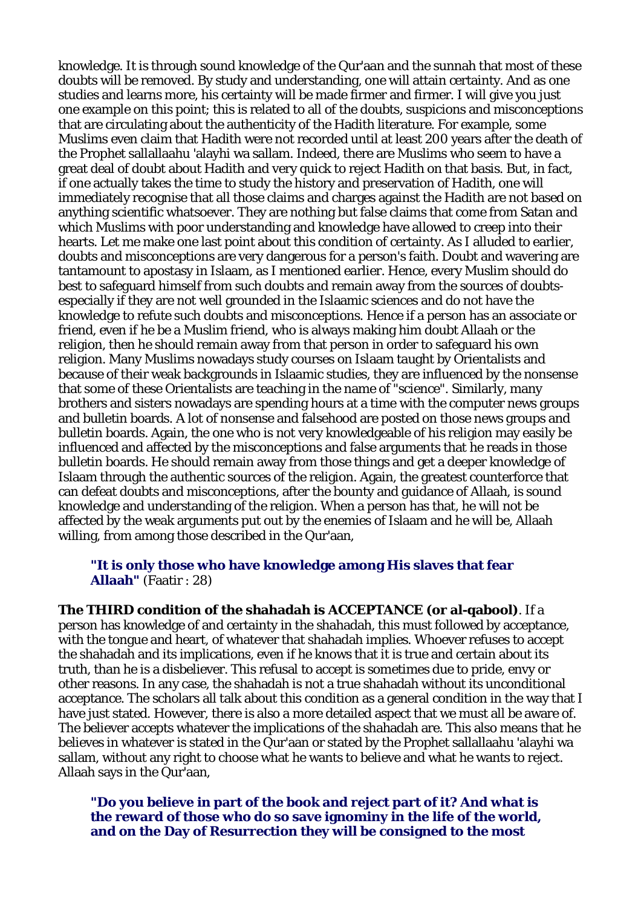knowledge. It is through sound knowledge of the Qur'aan and the sunnah that most of these doubts will be removed. By study and understanding, one will attain certainty. And as one studies and learns more, his certainty will be made firmer and firmer. I will give you just one example on this point; this is related to all of the doubts, suspicions and misconceptions that are circulating about the authenticity of the Hadith literature. For example, some Muslims even claim that Hadith were not recorded until at least 200 years after the death of the Prophet sallallaahu 'alayhi wa sallam. Indeed, there are Muslims who seem to have a great deal of doubt about Hadith and very quick to reject Hadith on that basis. But, in fact, if one actually takes the time to study the history and preservation of Hadith, one will immediately recognise that all those claims and charges against the Hadith are not based on anything scientific whatsoever. They are nothing but false claims that come from Satan and which Muslims with poor understanding and knowledge have allowed to creep into their hearts. Let me make one last point about this condition of certainty. As I alluded to earlier, doubts and misconceptions are very dangerous for a person's faith. Doubt and wavering are tantamount to apostasy in Islaam, as I mentioned earlier. Hence, every Muslim should do best to safeguard himself from such doubts and remain away from the sources of doubtsespecially if they are not well grounded in the Islaamic sciences and do not have the knowledge to refute such doubts and misconceptions. Hence if a person has an associate or friend, even if he be a Muslim friend, who is always making him doubt Allaah or the religion, then he should remain away from that person in order to safeguard his own religion. Many Muslims nowadays study courses on Islaam taught by Orientalists and because of their weak backgrounds in Islaamic studies, they are influenced by the nonsense that some of these Orientalists are teaching in the name of "science". Similarly, many brothers and sisters nowadays are spending hours at a time with the computer news groups and bulletin boards. A lot of nonsense and falsehood are posted on those news groups and bulletin boards. Again, the one who is not very knowledgeable of his religion may easily be influenced and affected by the misconceptions and false arguments that he reads in those bulletin boards. He should remain away from those things and get a deeper knowledge of Islaam through the authentic sources of the religion. Again, the greatest counterforce that can defeat doubts and misconceptions, after the bounty and guidance of Allaah, is sound knowledge and understanding of the religion. When a person has that, he will not be affected by the weak arguments put out by the enemies of Islaam and he will be, Allaah willing, from among those described in the Qur'aan,

## **"It is only those who have knowledge among His slaves that fear Allaah"** (Faatir : 28)

**The THIRD condition of the shahadah is ACCEPTANCE (or al-qabool)**. If a person has knowledge of and certainty in the shahadah, this must followed by acceptance, with the tongue and heart, of whatever that shahadah implies. Whoever refuses to accept the shahadah and its implications, even if he knows that it is true and certain about its truth, than he is a disbeliever. This refusal to accept is sometimes due to pride, envy or other reasons. In any case, the shahadah is not a true shahadah without its unconditional acceptance. The scholars all talk about this condition as a general condition in the way that I have just stated. However, there is also a more detailed aspect that we must all be aware of. The believer accepts whatever the implications of the shahadah are. This also means that he believes in whatever is stated in the Qur'aan or stated by the Prophet sallallaahu 'alayhi wa sallam, without any right to choose what he wants to believe and what he wants to reject. Allaah says in the Qur'aan,

**"Do you believe in part of the book and reject part of it? And what is the reward of those who do so save ignominy in the life of the world, and on the Day of Resurrection they will be consigned to the most**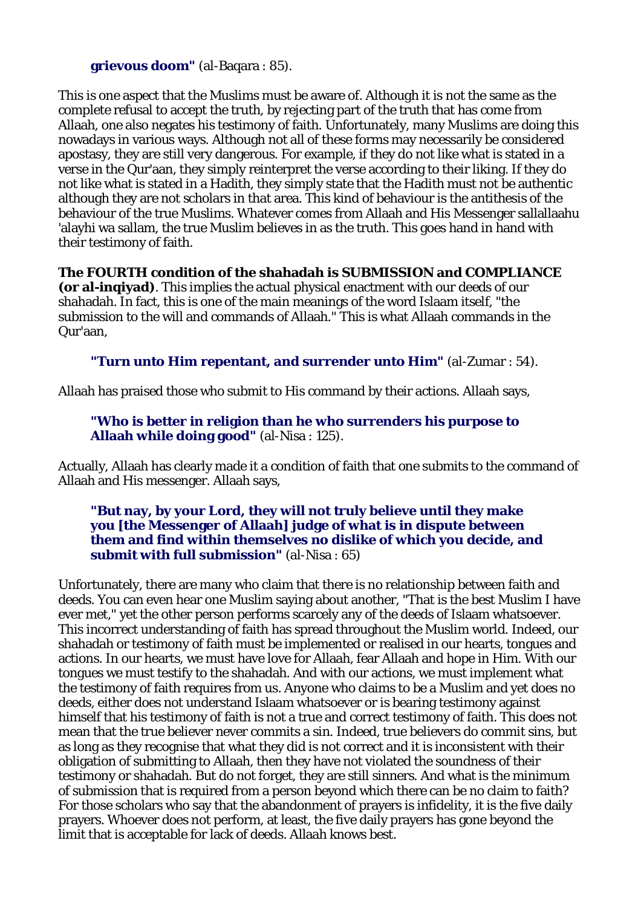**grievous doom"** (al-Baqara : 85).

This is one aspect that the Muslims must be aware of. Although it is not the same as the complete refusal to accept the truth, by rejecting part of the truth that has come from Allaah, one also negates his testimony of faith. Unfortunately, many Muslims are doing this nowadays in various ways. Although not all of these forms may necessarily be considered apostasy, they are still very dangerous. For example, if they do not like what is stated in a verse in the Qur'aan, they simply reinterpret the verse according to their liking. If they do not like what is stated in a Hadith, they simply state that the Hadith must not be authentic although they are not scholars in that area. This kind of behaviour is the antithesis of the behaviour of the true Muslims. Whatever comes from Allaah and His Messenger sallallaahu 'alayhi wa sallam, the true Muslim believes in as the truth. This goes hand in hand with their testimony of faith.

**The FOURTH condition of the shahadah is SUBMISSION and COMPLIANCE (or al-inqiyad)**. This implies the actual physical enactment with our deeds of our shahadah. In fact, this is one of the main meanings of the word Islaam itself, "the submission to the will and commands of Allaah." This is what Allaah commands in the Qur'aan,

**"Turn unto Him repentant, and surrender unto Him"** (al-Zumar : 54).

Allaah has praised those who submit to His command by their actions. Allaah says,

**"Who is better in religion than he who surrenders his purpose to Allaah while doing good"** (al-Nisa : 125).

Actually, Allaah has clearly made it a condition of faith that one submits to the command of Allaah and His messenger. Allaah says,

**"But nay, by your Lord, they will not truly believe until they make you [the Messenger of Allaah] judge of what is in dispute between them and find within themselves no dislike of which you decide, and submit with full submission"** (al-Nisa : 65)

Unfortunately, there are many who claim that there is no relationship between faith and deeds. You can even hear one Muslim saying about another, "That is the best Muslim I have ever met," yet the other person performs scarcely any of the deeds of Islaam whatsoever. This incorrect understanding of faith has spread throughout the Muslim world. Indeed, our shahadah or testimony of faith must be implemented or realised in our hearts, tongues and actions. In our hearts, we must have love for Allaah, fear Allaah and hope in Him. With our tongues we must testify to the shahadah. And with our actions, we must implement what the testimony of faith requires from us. Anyone who claims to be a Muslim and yet does no deeds, either does not understand Islaam whatsoever or is bearing testimony against himself that his testimony of faith is not a true and correct testimony of faith. This does not mean that the true believer never commits a sin. Indeed, true believers do commit sins, but as long as they recognise that what they did is not correct and it is inconsistent with their obligation of submitting to Allaah, then they have not violated the soundness of their testimony or shahadah. But do not forget, they are still sinners. And what is the minimum of submission that is required from a person beyond which there can be no claim to faith? For those scholars who say that the abandonment of prayers is infidelity, it is the five daily prayers. Whoever does not perform, at least, the five daily prayers has gone beyond the limit that is acceptable for lack of deeds. Allaah knows best.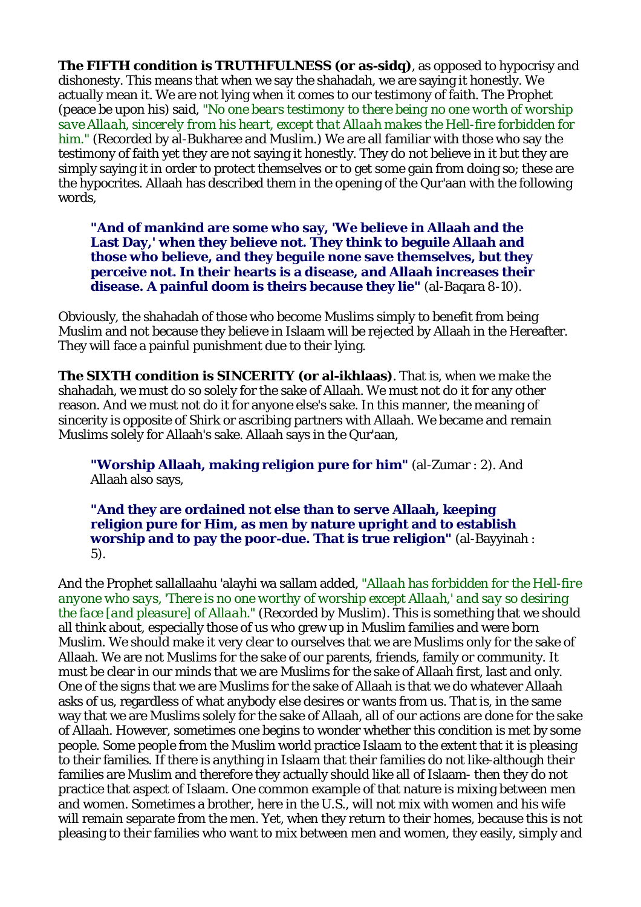**The FIFTH condition is TRUTHFULNESS (or as-sidq)**, as opposed to hypocrisy and dishonesty. This means that when we say the shahadah, we are saying it honestly. We actually mean it. We are not lying when it comes to our testimony of faith. The Prophet (peace be upon his) said, *"No one bears testimony to there being no one worth of worship save Allaah, sincerely from his heart, except that Allaah makes the Hell-fire forbidden for him."* (Recorded by al-Bukharee and Muslim.) We are all familiar with those who say the testimony of faith yet they are not saying it honestly. They do not believe in it but they are simply saying it in order to protect themselves or to get some gain from doing so; these are the hypocrites. Allaah has described them in the opening of the Qur'aan with the following words

**"And of mankind are some who say, 'We believe in Allaah and the Last Day,' when they believe not. They think to beguile Allaah and those who believe, and they beguile none save themselves, but they perceive not. In their hearts is a disease, and Allaah increases their disease. A painful doom is theirs because they lie"** (al-Baqara 8-10).

Obviously, the shahadah of those who become Muslims simply to benefit from being Muslim and not because they believe in Islaam will be rejected by Allaah in the Hereafter. They will face a painful punishment due to their lying.

**The SIXTH condition is SINCERITY (or al-ikhlaas)**. That is, when we make the shahadah, we must do so solely for the sake of Allaah. We must not do it for any other reason. And we must not do it for anyone else's sake. In this manner, the meaning of sincerity is opposite of Shirk or ascribing partners with Allaah. We became and remain Muslims solely for Allaah's sake. Allaah says in the Qur'aan,

**"Worship Allaah, making religion pure for him"** (al-Zumar : 2). And Allaah also says,

**"And they are ordained not else than to serve Allaah, keeping religion pure for Him, as men by nature upright and to establish worship and to pay the poor-due. That is true religion"** (al-Bayyinah : 5).

And the Prophet sallallaahu 'alayhi wa sallam added, *"Allaah has forbidden for the Hell-fire anyone who says, 'There is no one worthy of worship except Allaah,' and say so desiring the face [and pleasure] of Allaah."* (Recorded by Muslim). This is something that we should all think about, especially those of us who grew up in Muslim families and were born Muslim. We should make it very clear to ourselves that we are Muslims only for the sake of Allaah. We are not Muslims for the sake of our parents, friends, family or community. It must be clear in our minds that we are Muslims for the sake of Allaah first, last and only. One of the signs that we are Muslims for the sake of Allaah is that we do whatever Allaah asks of us, regardless of what anybody else desires or wants from us. That is, in the same way that we are Muslims solely for the sake of Allaah, all of our actions are done for the sake of Allaah. However, sometimes one begins to wonder whether this condition is met by some people. Some people from the Muslim world practice Islaam to the extent that it is pleasing to their families. If there is anything in Islaam that their families do not like-although their families are Muslim and therefore they actually should like all of Islaam- then they do not practice that aspect of Islaam. One common example of that nature is mixing between men and women. Sometimes a brother, here in the U.S., will not mix with women and his wife will remain separate from the men. Yet, when they return to their homes, because this is not pleasing to their families who want to mix between men and women, they easily, simply and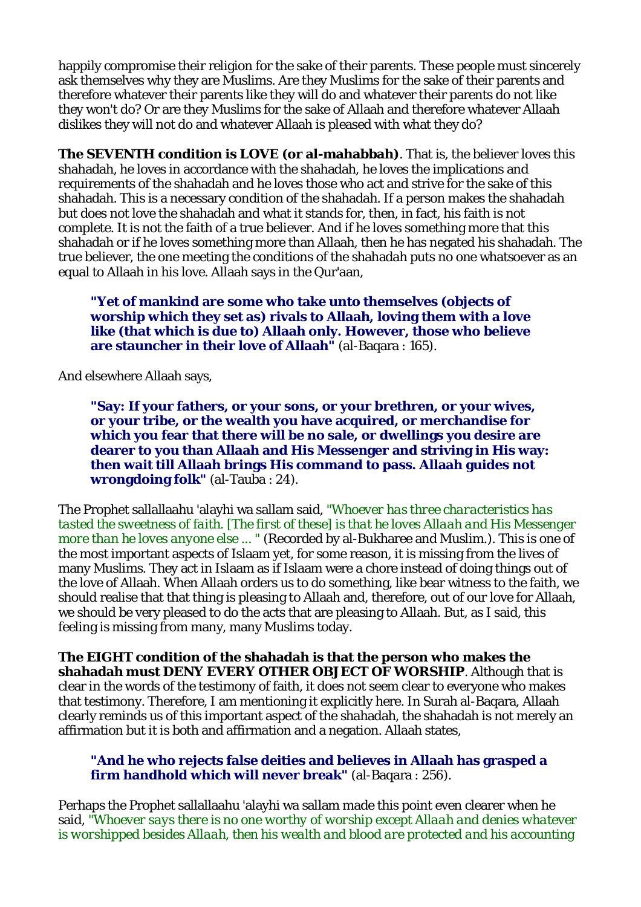happily compromise their religion for the sake of their parents. These people must sincerely ask themselves why they are Muslims. Are they Muslims for the sake of their parents and therefore whatever their parents like they will do and whatever their parents do not like they won't do? Or are they Muslims for the sake of Allaah and therefore whatever Allaah dislikes they will not do and whatever Allaah is pleased with what they do?

**The SEVENTH condition is LOVE (or al-mahabbah)**. That is, the believer loves this shahadah, he loves in accordance with the shahadah, he loves the implications and requirements of the shahadah and he loves those who act and strive for the sake of this shahadah. This is a necessary condition of the shahadah. If a person makes the shahadah but does not love the shahadah and what it stands for, then, in fact, his faith is not complete. It is not the faith of a true believer. And if he loves something more that this shahadah or if he loves something more than Allaah, then he has negated his shahadah. The true believer, the one meeting the conditions of the shahadah puts no one whatsoever as an equal to Allaah in his love. Allaah says in the Qur'aan,

**"Yet of mankind are some who take unto themselves (objects of worship which they set as) rivals to Allaah, loving them with a love like (that which is due to) Allaah only. However, those who believe are stauncher in their love of Allaah"** (al-Baqara : 165).

And elsewhere Allaah says,

**"Say: If your fathers, or your sons, or your brethren, or your wives, or your tribe, or the wealth you have acquired, or merchandise for which you fear that there will be no sale, or dwellings you desire are dearer to you than Allaah and His Messenger and striving in His way: then wait till Allaah brings His command to pass. Allaah guides not wrongdoing folk"** (al-Tauba : 24).

The Prophet sallallaahu 'alayhi wa sallam said, *"Whoever has three characteristics has tasted the sweetness of faith. [The first of these] is that he loves Allaah and His Messenger more than he loves anyone else ... "* (Recorded by al-Bukharee and Muslim.). This is one of the most important aspects of Islaam yet, for some reason, it is missing from the lives of many Muslims. They act in Islaam as if Islaam were a chore instead of doing things out of the love of Allaah. When Allaah orders us to do something, like bear witness to the faith, we should realise that that thing is pleasing to Allaah and, therefore, out of our love for Allaah, we should be very pleased to do the acts that are pleasing to Allaah. But, as I said, this feeling is missing from many, many Muslims today.

**The EIGHT condition of the shahadah is that the person who makes the shahadah must DENY EVERY OTHER OBJECT OF WORSHIP**. Although that is clear in the words of the testimony of faith, it does not seem clear to everyone who makes that testimony. Therefore, I am mentioning it explicitly here. In Surah al-Baqara, Allaah clearly reminds us of this important aspect of the shahadah, the shahadah is not merely an affirmation but it is both and affirmation and a negation. Allaah states,

**"And he who rejects false deities and believes in Allaah has grasped a firm handhold which will never break"** (al-Baqara : 256).

Perhaps the Prophet sallallaahu 'alayhi wa sallam made this point even clearer when he said, *"Whoever says there is no one worthy of worship except Allaah and denies whatever is worshipped besides Allaah, then his wealth and blood are protected and his accounting*